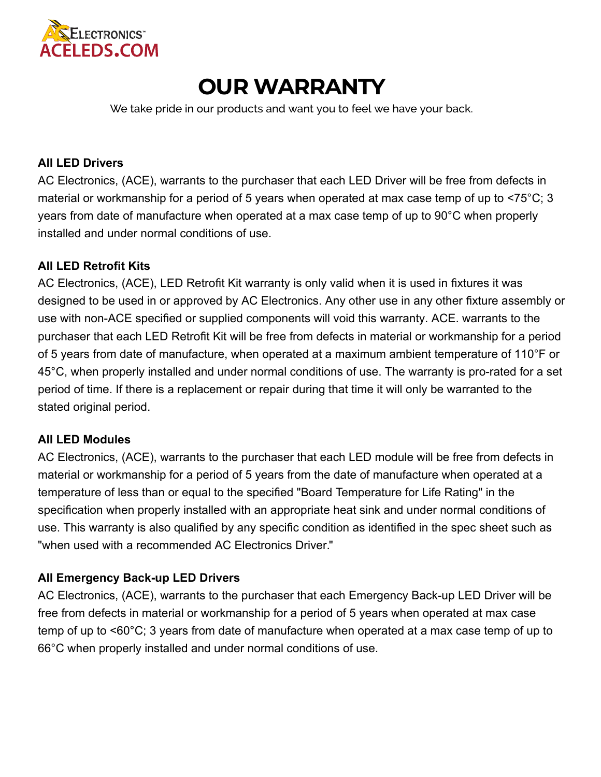

# **OUR WARRANTY**

[We take pride in our products and want you to feel we have your back.](http://www.aceleds.com/index.html)

## **All LED Drivers**

AC Electronics, (ACE), warrants to the purchaser that each LED Driver will be free from defects in material or workmanship for a period of 5 years when operated at max case temp of up to <75°C; 3 years from date of manufacture when operated at a max case temp of [up to 90°C when properly](http://www.aceleds.com/products-search-categories.php)  installed and under normal conditions of use.

# **All LED Retrofit Kits**

AC Electronics, (ACE), LED Retrofi[t Kit warranty is only valid when it is used in](http://www.aceleds.com/index.html) fixtures it was designed to be used in or approved by AC Electronics. Any other use in any other fixture assembly or use with non-ACE specified or supplied components will void this warranty. ACE. warrants to the purchaser that each LED Retrofit Kit will be free from defects in material or workmanship for a period of 5 years from date of manufacture, when operated at a maximum ambient temperature of 110°F or 45°C, when properly installed and under normal conditions of use. The warranty is pro-rated for a set period of time. If there is a replacement or repair during that time it will only be warranted to the stated original period.

# **All LE[D Modules](http://www.aceleds.com/led-modules-plus-linear.php)**

AC Electronics, (ACE), warrants to the purchaser that each LED module will be free from defects in material or workmanship for a period of 5 years from the date of manufacture when operated at a temperature of less than or equal to the specified "Board Temperature for Life Rating" in the specification when properly installed with an appropriate heat sink and under normal conditions of use. This warranty is also qualified by any specific condition as identified in the spec sheet such as "when used with a recommended AC Electronics Driver."

# **All Emergency Back-up LED Drivers**

AC Electronics, (ACE), warrants to the purchaser that each Emergency Back-up LED Driver will be free from defects in material or workmanship for a period of 5 years when operated at max case temp of up to <60°C; 3 years from date of manufacture when operated at a max case temp of up to 66°C when properly installed and under normal conditions of use.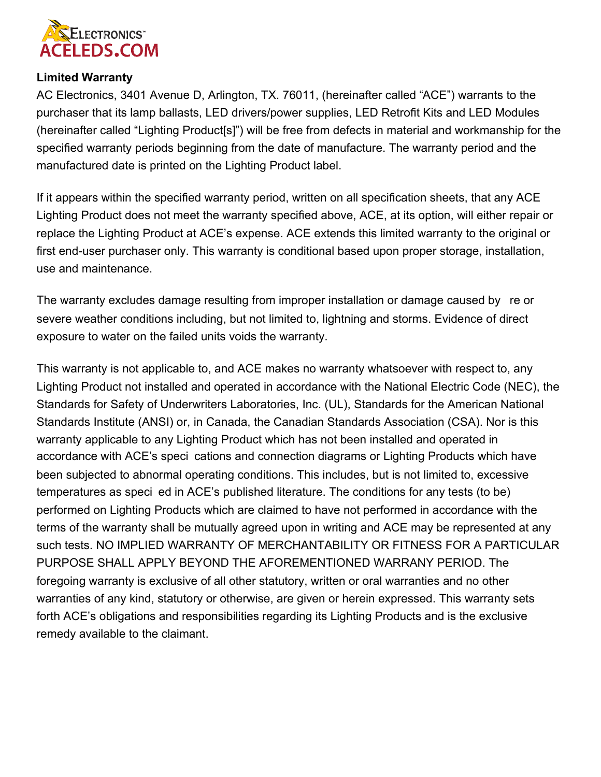

# **Limited Warranty**

AC Electronics, 3401 Avenue D, Arlington, TX. 76011, (hereinafter called "ACE") warrants to the purchaser that its lamp ballasts, LED drivers/power supplies, LED Retrofit Kits and LED Modules (hereinafter called "Lighting Product[s]") will be free from defects in material and workmanship for the specified warranty periods beginning from the date of manufacture. The warranty period and the manufa[ctured date is printed on the Lighting Product label.](http://aceleds.com/docs/ACE%20LED%20Module%20Matches.pdf)

If it appears within the specified warranty period, written on all specification sheets, that any ACE Lightin[g Product does not meet the](http://aceleds.com/docs/COB-Match-Book-Drivers.pdf) warranty specified above, ACE, at its option, will either repair or replace the Lighting Product at ACE's expense. ACE extends this limited warranty to the original or first end-user purchaser only. This warranty is conditional based upon proper storage, installation, use and maintenance.

The warranty excludes damage resulting from improper installation or damage caused by re or s[evere weather conditions including, but not limited to, lightning and storms. Evidence of direct](http://www.aceleds.com/warranty.php)  exposure to water on the failed units voids the warranty.

This warranty is not applicable to, and ACE makes no warranty whatsoever with respect to, any Lighting Product not installed and operated in accordance with the National Electric Code (NEC), the Standards for Safety of Underwriters Laboratories, Inc. (UL), Standards for the American National Standards Institute (ANSI) or, in Canada, the Canadian Standards Association (CSA). Nor is this warranty applicable to any Lighting Product which has not been installed and operated in accordance with ACE's speci cations and connection diagrams or Lighting Products which have been subjected to abnormal operating conditions. This includes, but is not limited to, excessive temperatures as speci ed in ACE's published literature. The conditions for any tests (to be) performed on Lighting Products which are claimed to have not performed in accordance with the terms of the warranty shall be mutually agreed upon in writing and ACE may be represented at any s[uch tests. NO IMPLIED WARRANTY OF MERCHANTABILITY OR FITNESS FOR A PARTICULAR](http://www.aceleds.com/whats-new.php) PURPOSE SHALL APPLY BEYOND THE AFOREMENTIONED WARRANY PERIOD. The foregoing warranty is exclusive of all other statutory, written or oral warranties and no other warranties of any kind, statutory or otherwise, are given or herein expressed. This warranty sets forth ACE's obligations and responsibilities regarding its Lighting Products and is the exclusive remedy available to the claimant.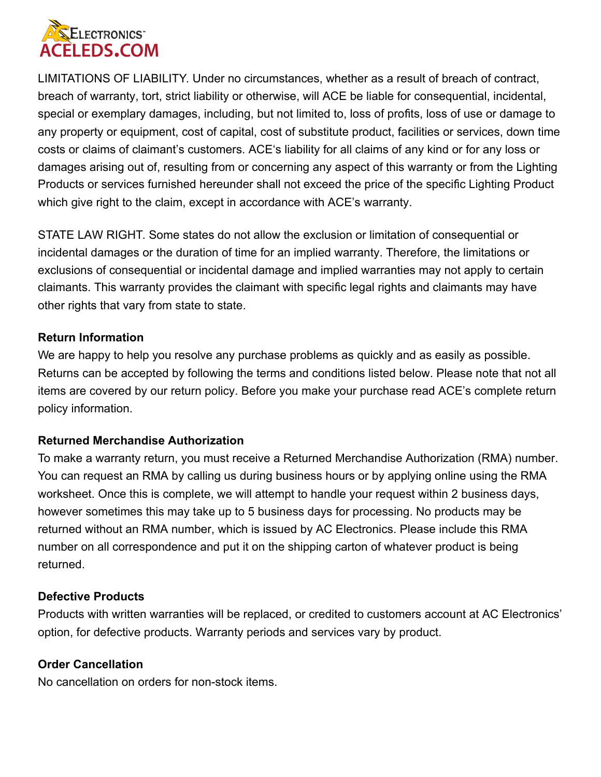

LIMITATIONS OF LIABILITY. Under no circumstances, whether as a result of breach of contract, breach of warranty, tort, strict liability or otherwise, will ACE be liable for consequential, incidental, special or exemplary damages, including, but not limited to, loss of profits, loss of use or damage to any property or equipment, cost of capital, cost of substitute product, facilities or services, down time costs or claims of claimant's customers. ACE's liability for all claims of any kind or for any loss or damages arising out of, resulting from or concerning any aspect of this warranty or from the Lighting Products or services furnished hereunder shall not exceed the price of the specific Lighting Product which give right to the claim, except in accordance with ACE's warranty.

STATE LAW RIGHT. Some states do not allow the exclusion or limitation of consequential or incidental damages or the duration of time for an implied warranty. Therefore, the limitations or exclusions of consequential or incidental damage and implied warranties may not apply to certain claimants. This warranty provides the claimant with specific legal rights and claimants may have other rights that vary from state to state.

### **Return Information**

We are happy to help you resolve any purchase problems as quickly and as easily as possible. Returns can be accepted by following the terms and conditions listed below. Please note that not all items are covered by our return policy. Before you make your purchase read ACE's complete return policy information.

#### **Returned Merchandise Authorization**

To make a warranty return, you must receive a Returned Merchandise Authorization (RMA) number. You can request an RMA by calling us during business hours or by applying online using the RMA worksheet. Once this is complete, we will attempt to handle your request within 2 business days, however sometimes this may take up to 5 business days for processing. No products may be returned without an RMA number, which is issued by AC Electronics. Please include this RMA number on all correspondence and put it on the shipping carton of whatever product is being returned.

#### **Defective Products**

Products with written warranties will be replaced, or credited to customers account at AC Electronics' option, for defective products. Warranty periods and services vary by product.

#### **Order Cancellation**

No cancellation on orders for non-stock items.